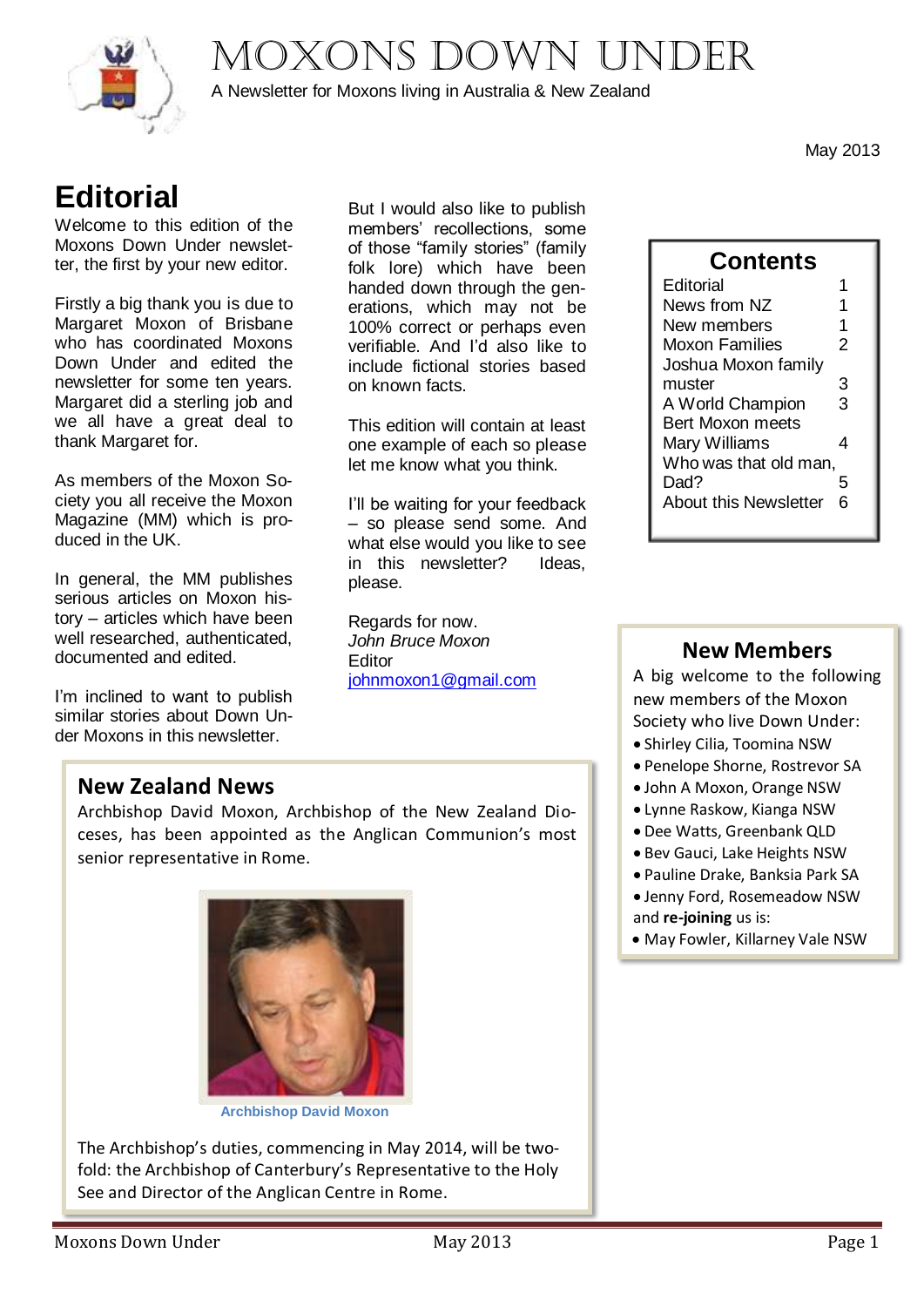Moxons Down under



A Newsletter for Moxons living in Australia & New Zealand

May 2013

# **Editorial**

Welcome to this edition of the Moxons Down Under newsletter, the first by your new editor.

Firstly a big thank you is due to Margaret Moxon of Brisbane who has coordinated Moxons Down Under and edited the newsletter for some ten years. Margaret did a sterling job and we all have a great deal to thank Margaret for.

As members of the Moxon Society you all receive the Moxon Magazine (MM) which is produced in the UK.

In general, the MM publishes serious articles on Moxon history – articles which have been well researched, authenticated, documented and edited.

I'm inclined to want to publish similar stories about Down Under Moxons in this newsletter.

But I would also like to publish members' recollections, some of those "family stories" (family folk lore) which have been handed down through the generations, which may not be 100% correct or perhaps even verifiable. And I'd also like to include fictional stories based on known facts.

This edition will contain at least one example of each so please let me know what you think.

I'll be waiting for your feedback – so please send some. And what else would you like to see in this newsletter? Ideas, please.

Regards for now. *John Bruce Moxon* **Editor** [johnmoxon1@gmail.com](mailto:johnmoxon1@gmail.com)

## **Contents**

| Editorial                    |   |
|------------------------------|---|
| News from NZ                 |   |
| New members                  | 1 |
| Moxon Families               | 2 |
| Joshua Moxon family          |   |
| muster                       | 3 |
| A World Champion             | 3 |
| <b>Bert Moxon meets</b>      |   |
| Mary Williams                | 4 |
| Who was that old man,        |   |
| Dad?                         | 5 |
| <b>About this Newsletter</b> | հ |
|                              |   |

### **New Members**

A big welcome to the following new members of the Moxon Society who live Down Under:

- Shirley Cilia, Toomina NSW
- Penelope Shorne, Rostrevor SA
- John A Moxon, Orange NSW
- Lynne Raskow, Kianga NSW
- Dee Watts, Greenbank QLD
- Bev Gauci, Lake Heights NSW
- Pauline Drake, Banksia Park SA
- Jenny Ford, Rosemeadow NSW
- and **re-joining** us is:
- May Fowler, Killarney Vale NSW

### **New Zealand News**

Archbishop David Moxon, Archbishop of the New Zealand Dioceses, has been appointed as the Anglican Communion's most senior representative in Rome.



**Archbishop David Moxon**

The Archbishop's duties, commencing in May 2014, will be twofold: the Archbishop of Canterbury's Representative to the Holy See and Director of the Anglican Centre in Rome.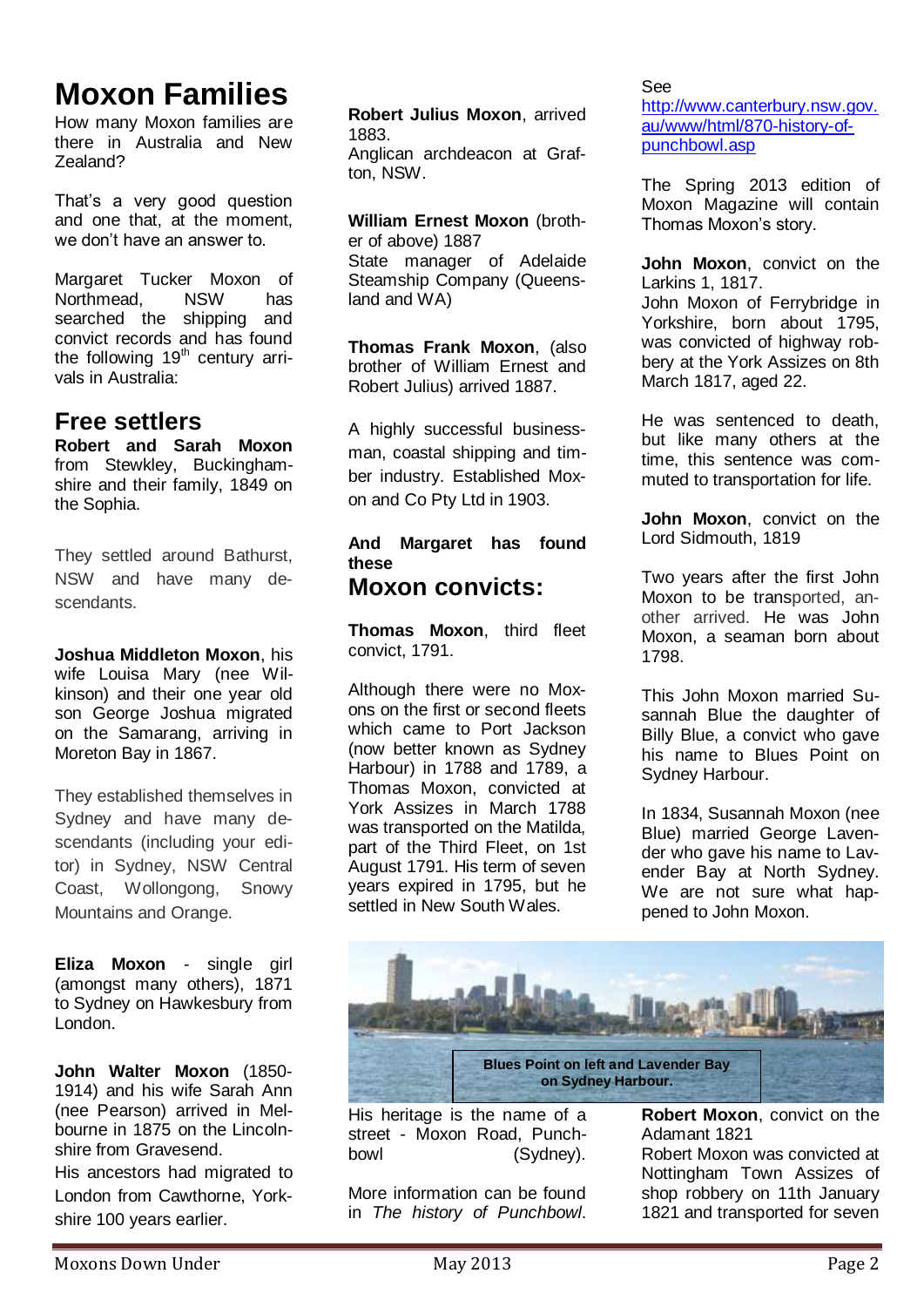# **Moxon Families**

How many Moxon families are there in Australia and New Zealand?

That's a very good question and one that, at the moment, we don't have an answer to.

Margaret Tucker Moxon of<br>Northmead. NSW has Northmead. searched the shipping and convict records and has found the following  $19<sup>th</sup>$  century arrivals in Australia:

## **Free settlers**

**Robert and Sarah Moxon** from Stewkley, Buckinghamshire and their family, 1849 on the Sophia.

They settled around Bathurst, NSW and have many descendants.

**Joshua Middleton Moxon**, his wife Louisa Mary (nee Wilkinson) and their one year old son George Joshua migrated on the Samarang, arriving in Moreton Bay in 1867.

They established themselves in Sydney and have many descendants (including your editor) in Sydney, NSW Central Coast, Wollongong, Snowy Mountains and Orange.

**Eliza Moxon** - single girl (amongst many others), 1871 to Sydney on Hawkesbury from London.

**John Walter Moxon** (1850- 1914) and his wife Sarah Ann (nee Pearson) arrived in Melbourne in 1875 on the Lincolnshire from Gravesend.

His ancestors had migrated to London from Cawthorne, Yorkshire 100 years earlier.

**Robert Julius Moxon**, arrived 1883. Anglican archdeacon at Grafton, NSW.

**William Ernest Moxon** (brother of above) 1887 State manager of Adelaide Steamship Company (Queensland and WA)

**Thomas Frank Moxon**, (also brother of William Ernest and Robert Julius) arrived 1887.

A highly successful businessman, coastal shipping and timber industry. Established Moxon and Co Pty Ltd in 1903.

#### **And Margaret has found these Moxon convicts:**

**[Thomas Moxon](http://moxonsdownunder.blogspot.com.au/2012/08/thomas-moxon-third-fleet-convict.html)**, third fleet [convict, 1791.](http://moxonsdownunder.blogspot.com.au/2012/08/thomas-moxon-third-fleet-convict.html)

Although there were no Moxons on the first or second fleets which came to Port Jackson (now better known as Sydney Harbour) in 1788 and 1789, a Thomas Moxon, convicted at York Assizes in March 1788 was transported on the Matilda, part of the Third Fleet, on 1st August 1791. His term of seven years expired in 1795, but he settled in New South Wales.

See [http://www.canterbury.nsw.gov.](http://www.canterbury.nsw.gov.au/www/html/870-history-of-punchbowl.asp) [au/www/html/870-history-of](http://www.canterbury.nsw.gov.au/www/html/870-history-of-punchbowl.asp)[punchbowl.asp](http://www.canterbury.nsw.gov.au/www/html/870-history-of-punchbowl.asp)

The Spring 2013 edition of Moxon Magazine will contain Thomas Moxon's story.

**John Moxon**[, convict on the](http://moxonsdownunder.blogspot.com.au/2012/09/john-moxon-convict-on-larkins-1-1817.html)  [Larkins 1, 1817.](http://moxonsdownunder.blogspot.com.au/2012/09/john-moxon-convict-on-larkins-1-1817.html) John Moxon of Ferrybridge in Yorkshire, born about 1795. was convicted of highway robbery at the York Assizes on 8th March 1817, aged 22.

He was sentenced to death, but like many others at the time, this sentence was commuted to transportation for life.

**John Moxon**[, convict on the](http://moxonsdownunder.blogspot.com.au/2012/09/john-moxon-convict-on-lord-sidmouth-1819.html)  [Lord Sidmouth, 1819](http://moxonsdownunder.blogspot.com.au/2012/09/john-moxon-convict-on-lord-sidmouth-1819.html)

Two years after the first John Moxon to be transported, another arrived. He was John Moxon, a seaman born about 1798.

This John Moxon married Susannah Blue the daughter of Billy Blue, a convict who gave his name to Blues Point on Sydney Harbour.

In 1834, Susannah Moxon (nee Blue) married George Lavender who gave his name to Lavender Bay at North Sydney. We are not sure what happened to John Moxon.



His heritage is the name of a street - Moxon Road, Punchbowl (Sydney).

More information can be found in *[The history of Punchbowl](http://www.canterbury.nsw.gov.au/www/html/870-history-of-punchbowl.asp)*.

**Robert Moxon**[, convict on the](http://moxonsdownunder.blogspot.com.au/2012/09/robert-moxon-convict-on-adamant-1821.html)  [Adamant 1821](http://moxonsdownunder.blogspot.com.au/2012/09/robert-moxon-convict-on-adamant-1821.html)

Robert Moxon was convicted at Nottingham Town Assizes of shop robbery on 11th January 1821 and transported for seven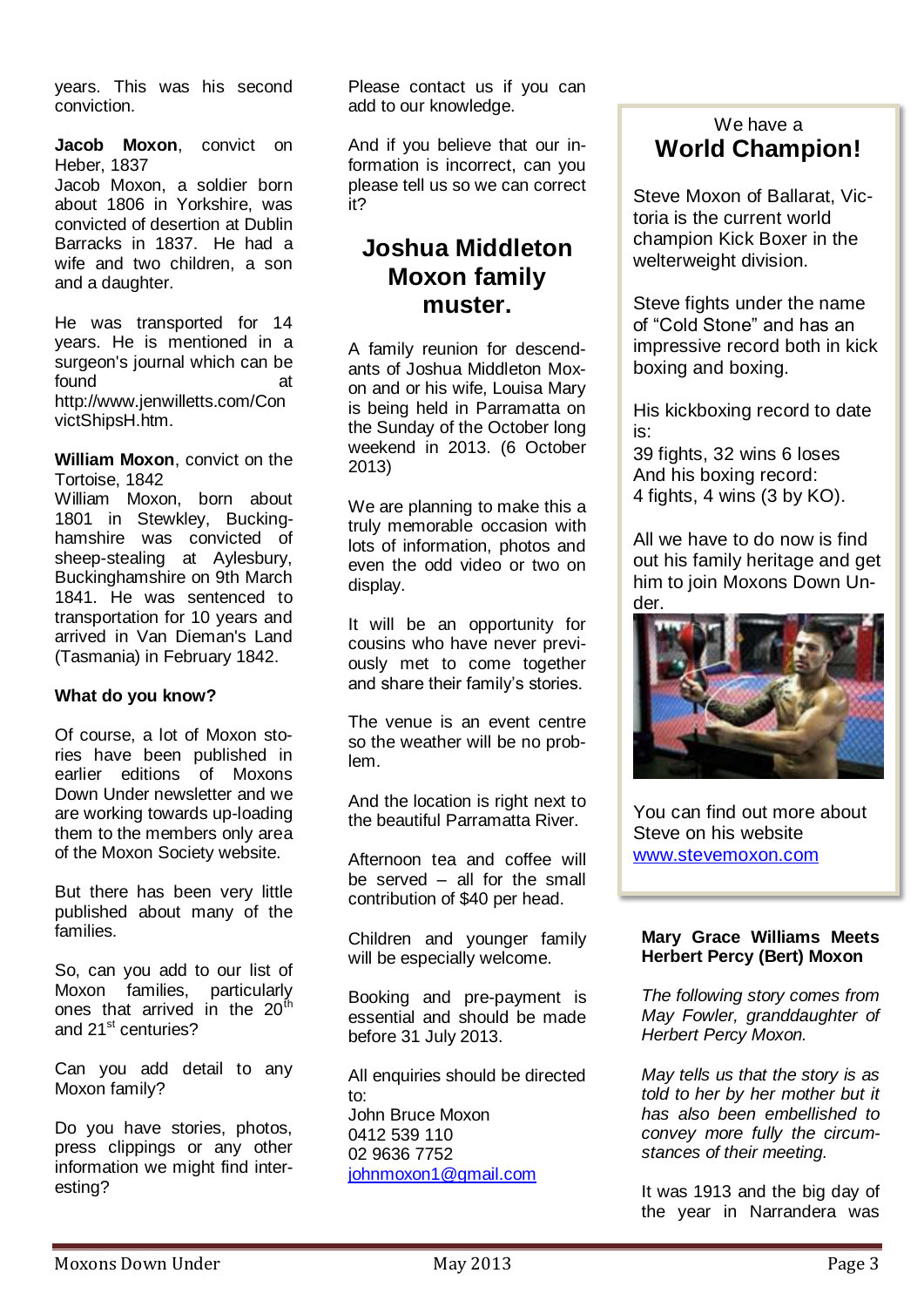years. This was his second conviction.

**[Jacob Moxon](http://moxonsdownunder.blogspot.com.au/2012/09/jacob-moxon-convict-on-heber-1837.html)**, convict on [Heber, 1837](http://moxonsdownunder.blogspot.com.au/2012/09/jacob-moxon-convict-on-heber-1837.html)

Jacob Moxon, a soldier born about 1806 in Yorkshire, was convicted of desertion at Dublin Barracks in 1837. He had a wife and two children, a son and a daughter.

He was transported for 14 years. He is mentioned in a surgeon's journal which can be found at [http://www.jenwilletts.com/Con](http://www.jenwilletts.com/ConvictShipsH.htm) [victShipsH.htm.](http://www.jenwilletts.com/ConvictShipsH.htm)

**William Moxon**[, convict on the](http://moxonsdownunder.blogspot.com.au/2012/09/william-moxon-convict-on-tortoise-1842.html)  [Tortoise, 1842](http://moxonsdownunder.blogspot.com.au/2012/09/william-moxon-convict-on-tortoise-1842.html)

William Moxon, born about 1801 in Stewkley, Buckinghamshire was convicted of sheep-stealing at Aylesbury, Buckinghamshire on 9th March 1841. He was sentenced to transportation for 10 years and arrived in Van Dieman's Land (Tasmania) in February 1842.

#### **What do you know?**

Of course, a lot of Moxon stories have been published in earlier editions of Moxons Down Under newsletter and we are working towards up-loading them to the members only area of the Moxon Society website.

But there has been very little published about many of the families.

So, can you add to our list of Moxon families, particularly ones that arrived in the  $20<sup>th</sup>$ and 21<sup>st</sup> centuries?

Can you add detail to any Moxon family?

Do you have stories, photos, press clippings or any other information we might find interesting?

Please contact us if you can add to our knowledge.

And if you believe that our information is incorrect, can you please tell us so we can correct it?

## **Joshua Middleton Moxon family muster.**

A family reunion for descendants of Joshua Middleton Moxon and or his wife, Louisa Mary is being held in Parramatta on the Sunday of the October long weekend in 2013. (6 October 2013)

We are planning to make this a truly memorable occasion with lots of information, photos and even the odd video or two on display.

It will be an opportunity for cousins who have never previously met to come together and share their family's stories.

The venue is an event centre so the weather will be no problem.

And the location is right next to the beautiful Parramatta River.

Afternoon tea and coffee will be served – all for the small contribution of \$40 per head.

Children and younger family will be especially welcome.

Booking and pre-payment is essential and should be made before 31 July 2013.

All enquiries should be directed to: John Bruce Moxon 0412 539 110 02 9636 7752 [johnmoxon1@gmail.com](mailto:johnmoxon1@gmail.com)

### We have a **World Champion!**

Steve Moxon of Ballarat, Victoria is the current world champion Kick Boxer in the welterweight division.

Steve fights under the name of "Cold Stone" and has an impressive record both in kick boxing and boxing.

His kickboxing record to date is:

39 fights, 32 wins 6 loses And his boxing record: 4 fights, 4 wins (3 by KO).

All we have to do now is find out his family heritage and get him to join Moxons Down Under.



You can find out more about Steve on his website [www.stevemoxon.com](http://www.stevemoxon.com/)

#### **Mary Grace Williams Meets Herbert Percy (Bert) Moxon**

*The following story comes from May Fowler, granddaughter of Herbert Percy Moxon.*

*May tells us that the story is as told to her by her mother but it has also been embellished to convey more fully the circumstances of their meeting.*

It was 1913 and the big day of the year in Narrandera was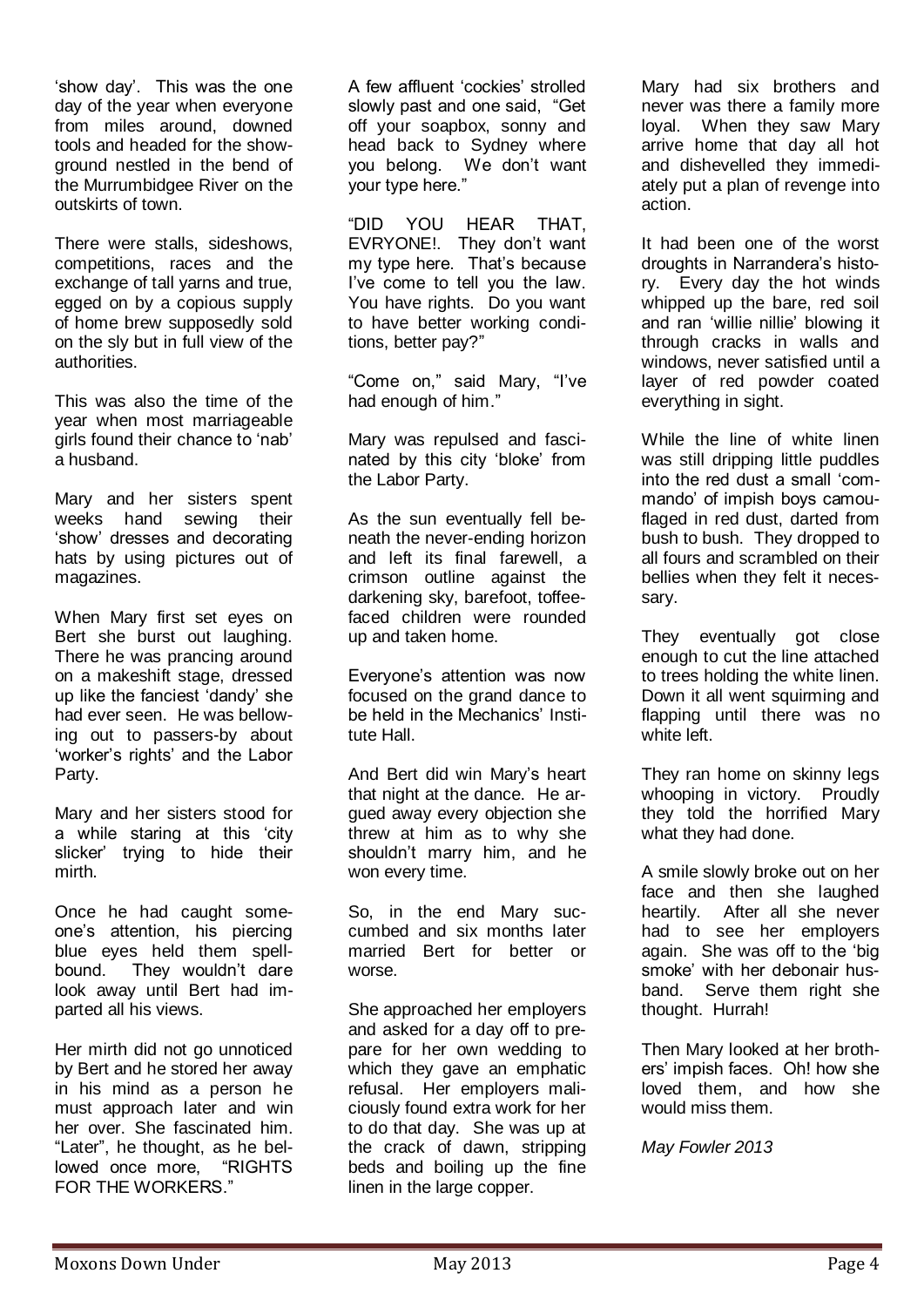'show day'. This was the one day of the year when everyone from miles around, downed tools and headed for the showground nestled in the bend of the Murrumbidgee River on the outskirts of town.

There were stalls, sideshows, competitions, races and the exchange of tall yarns and true, egged on by a copious supply of home brew supposedly sold on the sly but in full view of the authorities.

This was also the time of the year when most marriageable girls found their chance to 'nab' a husband.

Mary and her sisters spent weeks hand sewing their 'show' dresses and decorating hats by using pictures out of magazines.

When Mary first set eyes on Bert she burst out laughing. There he was prancing around on a makeshift stage, dressed up like the fanciest 'dandy' she had ever seen. He was bellowing out to passers-by about 'worker's rights' and the Labor Party.

Mary and her sisters stood for a while staring at this 'city slicker' trying to hide their mirth.

Once he had caught someone's attention, his piercing blue eyes held them spellbound. They wouldn't dare look away until Bert had imparted all his views.

Her mirth did not go unnoticed by Bert and he stored her away in his mind as a person he must approach later and win her over. She fascinated him. "Later", he thought, as he bellowed once more, "RIGHTS FOR THE WORKERS."

A few affluent 'cockies' strolled slowly past and one said, "Get off your soapbox, sonny and head back to Sydney where you belong. We don't want your type here."

"DID YOU HEAR THAT, EVRYONE!. They don't want my type here. That's because I've come to tell you the law. You have rights. Do you want to have better working conditions, better pay?"

"Come on," said Mary, "I've had enough of him."

Mary was repulsed and fascinated by this city 'bloke' from the Labor Party.

As the sun eventually fell beneath the never-ending horizon and left its final farewell, a crimson outline against the darkening sky, barefoot, toffeefaced children were rounded up and taken home.

Everyone's attention was now focused on the grand dance to be held in the Mechanics' Institute Hall.

And Bert did win Mary's heart that night at the dance. He argued away every objection she threw at him as to why she shouldn't marry him, and he won every time.

So, in the end Mary succumbed and six months later married Bert for better or worse.

She approached her employers and asked for a day off to prepare for her own wedding to which they gave an emphatic refusal. Her employers maliciously found extra work for her to do that day. She was up at the crack of dawn, stripping beds and boiling up the fine linen in the large copper.

Mary had six brothers and never was there a family more loyal. When they saw Mary arrive home that day all hot and dishevelled they immediately put a plan of revenge into action.

It had been one of the worst droughts in Narrandera's history. Every day the hot winds whipped up the bare, red soil and ran 'willie nillie' blowing it through cracks in walls and windows, never satisfied until a layer of red powder coated everything in sight.

While the line of white linen was still dripping little puddles into the red dust a small 'commando' of impish boys camouflaged in red dust, darted from bush to bush. They dropped to all fours and scrambled on their bellies when they felt it necessary.

They eventually got close enough to cut the line attached to trees holding the white linen. Down it all went squirming and flapping until there was no white left.

They ran home on skinny legs whooping in victory. Proudly they told the horrified Mary what they had done.

A smile slowly broke out on her face and then she laughed heartily. After all she never had to see her employers again. She was off to the 'big smoke' with her debonair husband. Serve them right she thought. Hurrah!

Then Mary looked at her brothers' impish faces. Oh! how she loved them, and how she would miss them.

*May Fowler 2013*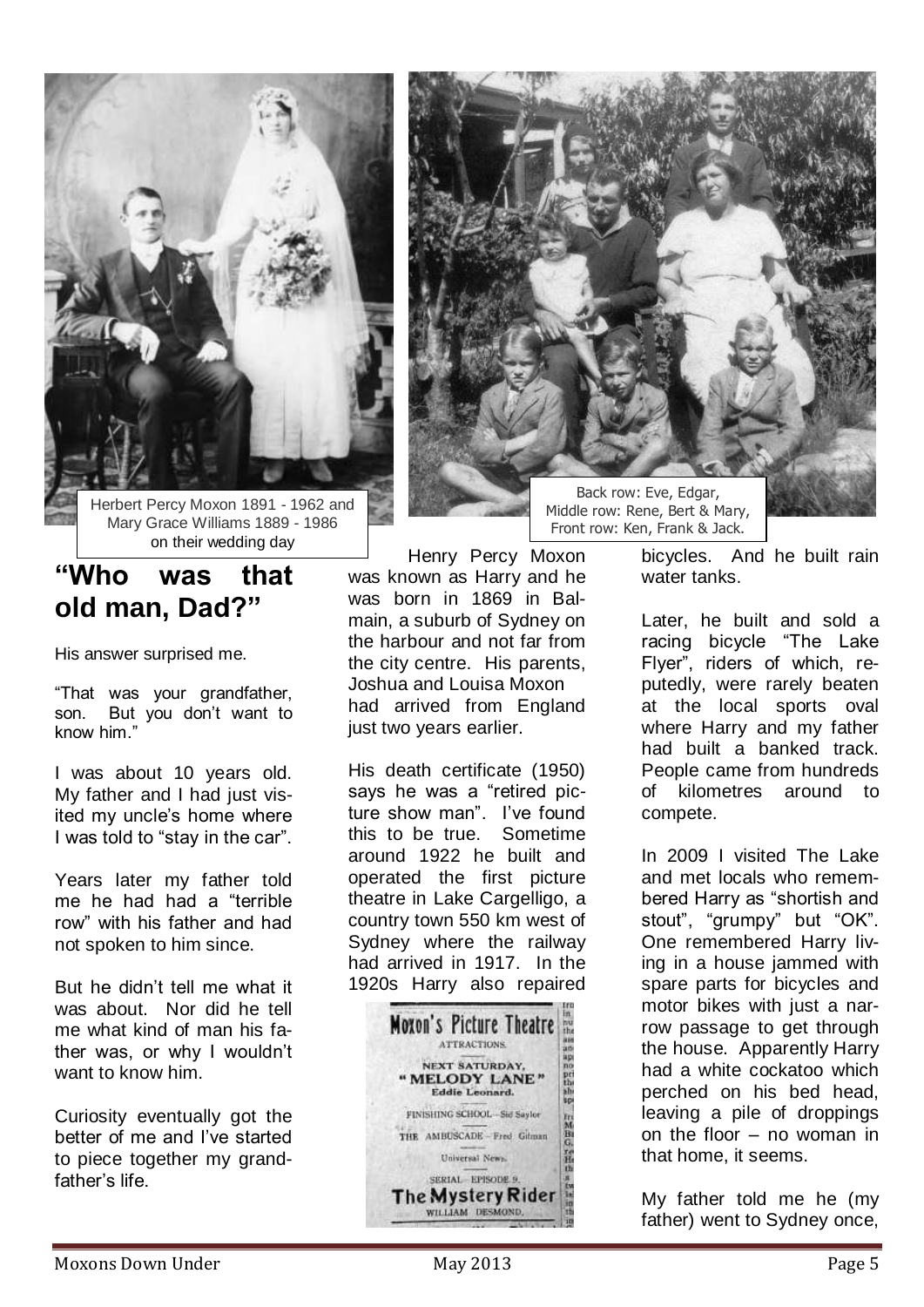

Herbert Percy Moxon 1891 - 1962 and Mary Grace Williams 1889 - 1986 on their wedding day

# **"Who was that old man, Dad?"**

His answer surprised me.

"That was your grandfather, son. But you don't want to know him.'

I was about 10 years old. My father and I had just visited my uncle's home where I was told to "stay in the car".

Years later my father told me he had had a "terrible row" with his father and had not spoken to him since.

But he didn't tell me what it was about. Nor did he tell me what kind of man his father was, or why I wouldn't want to know him.

Curiosity eventually got the better of me and I've started to piece together my grandfather's life.

Henry Percy Moxon was known as Harry and he was born in 1869 in Balmain, a suburb of Sydney on the harbour and not far from the city centre. His parents, Joshua and Louisa Moxon had arrived from England just two years earlier.

His death certificate (1950) says he was a "retired picture show man". I've found this to be true. Sometime around 1922 he built and operated the first picture theatre in Lake Cargelligo, a country town 550 km west of Sydney where the railway had arrived in 1917. In the 1920s Harry also repaired





Middle row: Rene, Bert & Mary, Front row: Ken, Frank & Jack.

bicycles. And he built rain water tanks.

Later, he built and sold a racing bicycle "The Lake Flyer", riders of which, reputedly, were rarely beaten at the local sports oval where Harry and my father had built a banked track. People came from hundreds of kilometres around to compete.

In 2009 I visited The Lake and met locals who remembered Harry as "shortish and stout", "grumpy" but "OK". One remembered Harry living in a house jammed with spare parts for bicycles and motor bikes with just a narrow passage to get through the house. Apparently Harry had a white cockatoo which perched on his bed head, leaving a pile of droppings on the floor – no woman in that home, it seems.

My father told me he (my father) went to Sydney once,